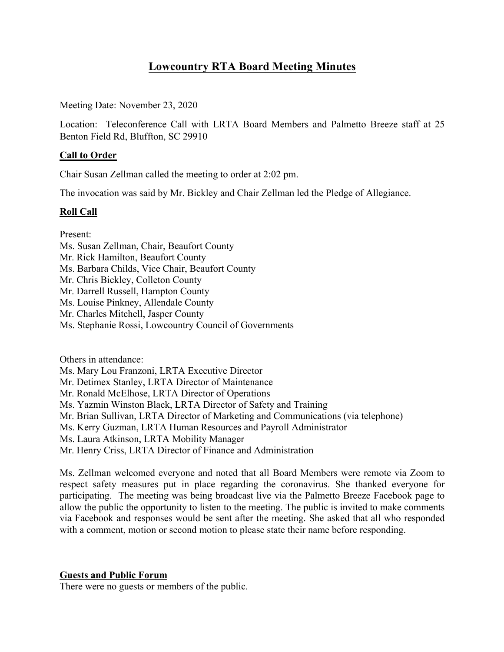# **Lowcountry RTA Board Meeting Minutes**

Meeting Date: November 23, 2020

Location: Teleconference Call with LRTA Board Members and Palmetto Breeze staff at 25 Benton Field Rd, Bluffton, SC 29910

## **Call to Order**

Chair Susan Zellman called the meeting to order at 2:02 pm.

The invocation was said by Mr. Bickley and Chair Zellman led the Pledge of Allegiance.

### **Roll Call**

Present:

- Ms. Susan Zellman, Chair, Beaufort County
- Mr. Rick Hamilton, Beaufort County
- Ms. Barbara Childs, Vice Chair, Beaufort County
- Mr. Chris Bickley, Colleton County
- Mr. Darrell Russell, Hampton County
- Ms. Louise Pinkney, Allendale County
- Mr. Charles Mitchell, Jasper County
- Ms. Stephanie Rossi, Lowcountry Council of Governments

Others in attendance:

Ms. Mary Lou Franzoni, LRTA Executive Director

- Mr. Detimex Stanley, LRTA Director of Maintenance
- Mr. Ronald McElhose, LRTA Director of Operations
- Ms. Yazmin Winston Black, LRTA Director of Safety and Training
- Mr. Brian Sullivan, LRTA Director of Marketing and Communications (via telephone)
- Ms. Kerry Guzman, LRTA Human Resources and Payroll Administrator
- Ms. Laura Atkinson, LRTA Mobility Manager
- Mr. Henry Criss, LRTA Director of Finance and Administration

Ms. Zellman welcomed everyone and noted that all Board Members were remote via Zoom to respect safety measures put in place regarding the coronavirus. She thanked everyone for participating. The meeting was being broadcast live via the Palmetto Breeze Facebook page to allow the public the opportunity to listen to the meeting. The public is invited to make comments via Facebook and responses would be sent after the meeting. She asked that all who responded with a comment, motion or second motion to please state their name before responding.

#### **Guests and Public Forum**

There were no guests or members of the public.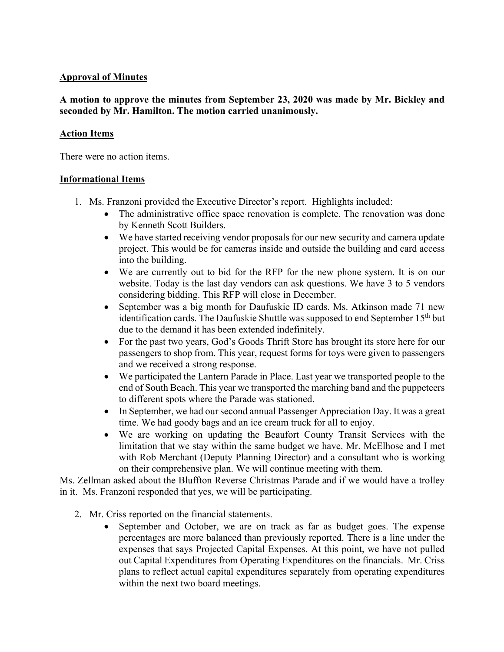## **Approval of Minutes**

# **A motion to approve the minutes from September 23, 2020 was made by Mr. Bickley and seconded by Mr. Hamilton. The motion carried unanimously.**

# **Action Items**

There were no action items.

# **Informational Items**

- 1. Ms. Franzoni provided the Executive Director's report. Highlights included:
	- The administrative office space renovation is complete. The renovation was done by Kenneth Scott Builders.
	- We have started receiving vendor proposals for our new security and camera update project. This would be for cameras inside and outside the building and card access into the building.
	- We are currently out to bid for the RFP for the new phone system. It is on our website. Today is the last day vendors can ask questions. We have 3 to 5 vendors considering bidding. This RFP will close in December.
	- September was a big month for Daufuskie ID cards. Ms. Atkinson made 71 new identification cards. The Daufuskie Shuttle was supposed to end September 15<sup>th</sup> but due to the demand it has been extended indefinitely.
	- For the past two years, God's Goods Thrift Store has brought its store here for our passengers to shop from. This year, request forms for toys were given to passengers and we received a strong response.
	- We participated the Lantern Parade in Place. Last year we transported people to the end of South Beach. This year we transported the marching band and the puppeteers to different spots where the Parade was stationed.
	- In September, we had our second annual Passenger Appreciation Day. It was a great time. We had goody bags and an ice cream truck for all to enjoy.
	- We are working on updating the Beaufort County Transit Services with the limitation that we stay within the same budget we have. Mr. McElhose and I met with Rob Merchant (Deputy Planning Director) and a consultant who is working on their comprehensive plan. We will continue meeting with them.

Ms. Zellman asked about the Bluffton Reverse Christmas Parade and if we would have a trolley in it. Ms. Franzoni responded that yes, we will be participating.

- 2. Mr. Criss reported on the financial statements.
	- September and October, we are on track as far as budget goes. The expense percentages are more balanced than previously reported. There is a line under the expenses that says Projected Capital Expenses. At this point, we have not pulled out Capital Expenditures from Operating Expenditures on the financials. Mr. Criss plans to reflect actual capital expenditures separately from operating expenditures within the next two board meetings.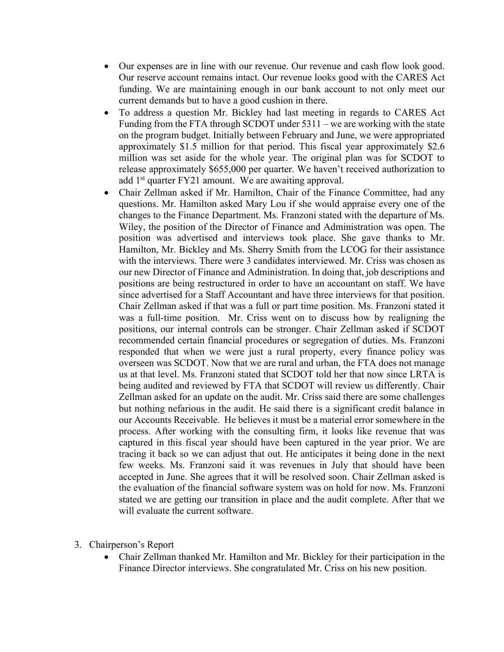- Our expenses are in line with our revenue. Our revenue and cash flow look good. Our reserve account remains intact. Our revenue looks good with the CARES Act funding. We are maintaining enough in our bank account to not only meet our current demands but to have a good cushion in there.
- To address a question Mr. Bickley had last meeting in regards to CARES Act Funding from the FTA through SCDOT under 5311 – we are working with the state on the program budget. Initially between February and June, we were appropriated approximately \$1.5 million for that period. This fiscal year approximately \$2.6 million was set aside for the whole year. The original plan was for SCDOT to release approximately \$655,000 per quarter. We haven't received authorization to add 1<sup>st</sup> quarter FY21 amount. We are awaiting approval.
- Chair Zellman asked if Mr. Hamilton, Chair of the Finance Committee, had any questions. Mr. Hamilton asked Mary Lou if she would appraise every one of the changes to the Finance Department. Ms. Franzoni stated with the departure of Ms. Wiley, the position of the Director of Finance and Administration was open. The position was advertised and interviews took place. She gave thanks to Mr. Hamilton, Mr. Bickley and Ms. Sherry Smith from the LCOG for their assistance with the interviews. There were 3 candidates interviewed. Mr. Criss was chosen as our new Director of Finance and Administration. In doing that, job descriptions and positions are being restructured in order to have an accountant on staff. We have since advertised for a Staff Accountant and have three interviews for that position. Chair Zellman asked if that was a full or part time position. Ms. Franzoni stated it was a full-time position. Mr. Criss went on to discuss how by realigning the positions, our internal controls can be stronger. Chair Zellman asked if SCDOT recommended certain financial procedures or segregation of duties. Ms. Franzoni responded that when we were just a rural property, every finance policy was overseen was SCDOT. Now that we are rural and urban, the FTA does not manage us at that level. Ms. Franzoni stated that SCDOT told her that now since LRTA is being audited and reviewed by FTA that SCDOT will review us differently. Chair Zellman asked for an update on the audit. Mr. Criss said there are some challenges but nothing nefarious in the audit. He said there is a significant credit balance in our Accounts Receivable. He believes it must be a material error somewhere in the process. After working with the consulting firm, it looks like revenue that was captured in this fiscal year should have been captured in the year prior. We are tracing it back so we can adjust that out. He anticipates it being done in the next few weeks. Ms. Franzoni said it was revenues in July that should have been accepted in June. She agrees that it will be resolved soon. Chair Zellman asked is the evaluation of the financial software system was on hold for now. Ms. Franzoni stated we are getting our transition in place and the audit complete. After that we will evaluate the current software.
- 3. Chairperson's Report
	- Chair Zellman thanked Mr. Hamilton and Mr. Bickley for their participation in the Finance Director interviews. She congratulated Mr. Criss on his new position.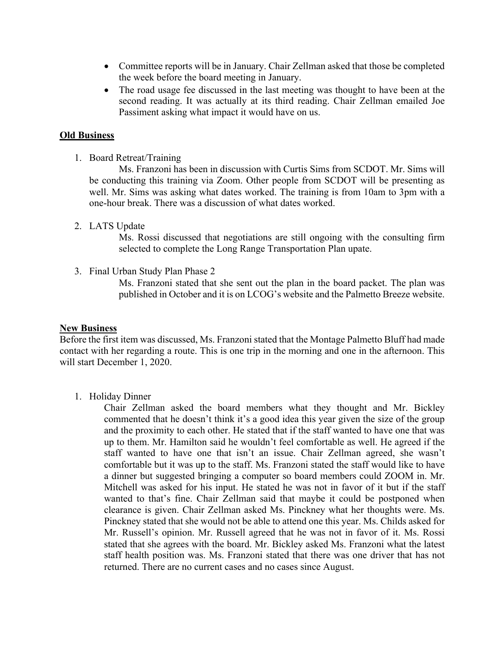- Committee reports will be in January. Chair Zellman asked that those be completed the week before the board meeting in January.
- The road usage fee discussed in the last meeting was thought to have been at the second reading. It was actually at its third reading. Chair Zellman emailed Joe Passiment asking what impact it would have on us.

#### **Old Business**

1. Board Retreat/Training

Ms. Franzoni has been in discussion with Curtis Sims from SCDOT. Mr. Sims will be conducting this training via Zoom. Other people from SCDOT will be presenting as well. Mr. Sims was asking what dates worked. The training is from 10am to 3pm with a one-hour break. There was a discussion of what dates worked.

#### 2. LATS Update

Ms. Rossi discussed that negotiations are still ongoing with the consulting firm selected to complete the Long Range Transportation Plan upate.

3. Final Urban Study Plan Phase 2

Ms. Franzoni stated that she sent out the plan in the board packet. The plan was published in October and it is on LCOG's website and the Palmetto Breeze website.

#### **New Business**

Before the first item was discussed, Ms. Franzoni stated that the Montage Palmetto Bluff had made contact with her regarding a route. This is one trip in the morning and one in the afternoon. This will start December 1, 2020.

1. Holiday Dinner

Chair Zellman asked the board members what they thought and Mr. Bickley commented that he doesn't think it's a good idea this year given the size of the group and the proximity to each other. He stated that if the staff wanted to have one that was up to them. Mr. Hamilton said he wouldn't feel comfortable as well. He agreed if the staff wanted to have one that isn't an issue. Chair Zellman agreed, she wasn't comfortable but it was up to the staff. Ms. Franzoni stated the staff would like to have a dinner but suggested bringing a computer so board members could ZOOM in. Mr. Mitchell was asked for his input. He stated he was not in favor of it but if the staff wanted to that's fine. Chair Zellman said that maybe it could be postponed when clearance is given. Chair Zellman asked Ms. Pinckney what her thoughts were. Ms. Pinckney stated that she would not be able to attend one this year. Ms. Childs asked for Mr. Russell's opinion. Mr. Russell agreed that he was not in favor of it. Ms. Rossi stated that she agrees with the board. Mr. Bickley asked Ms. Franzoni what the latest staff health position was. Ms. Franzoni stated that there was one driver that has not returned. There are no current cases and no cases since August.